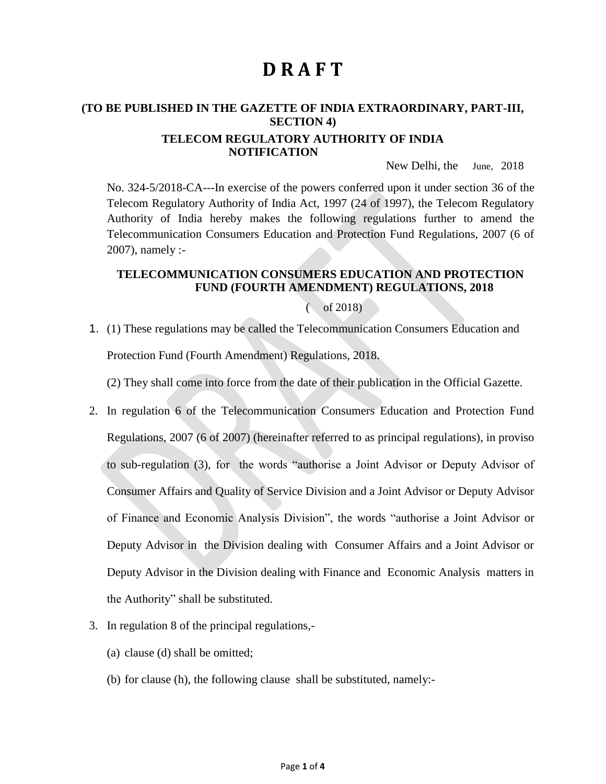# **D R A F T**

## **(TO BE PUBLISHED IN THE GAZETTE OF INDIA EXTRAORDINARY, PART-III, SECTION 4)**

#### **TELECOM REGULATORY AUTHORITY OF INDIA NOTIFICATION**

New Delhi, the June, 2018

No. 324-5/2018-CA---In exercise of the powers conferred upon it under section 36 of the Telecom Regulatory Authority of India Act, 1997 (24 of 1997), the Telecom Regulatory Authority of India hereby makes the following regulations further to amend the Telecommunication Consumers Education and Protection Fund Regulations, 2007 (6 of 2007), namely :-

#### **TELECOMMUNICATION CONSUMERS EDUCATION AND PROTECTION FUND (FOURTH AMENDMENT) REGULATIONS, 2018**

( of 2018)

1. (1) These regulations may be called the Telecommunication Consumers Education and Protection Fund (Fourth Amendment) Regulations, 2018.

(2) They shall come into force from the date of their publication in the Official Gazette.

- 2. In regulation 6 of the Telecommunication Consumers Education and Protection Fund Regulations, 2007 (6 of 2007) (hereinafter referred to as principal regulations), in proviso to sub-regulation (3), for the words "authorise a Joint Advisor or Deputy Advisor of Consumer Affairs and Quality of Service Division and a Joint Advisor or Deputy Advisor of Finance and Economic Analysis Division", the words "authorise a Joint Advisor or Deputy Advisor in the Division dealing with Consumer Affairs and a Joint Advisor or Deputy Advisor in the Division dealing with Finance and Economic Analysis matters in the Authority" shall be substituted.
- 3. In regulation 8 of the principal regulations,-
	- (a) clause (d) shall be omitted;
	- (b) for clause (h), the following clause shall be substituted, namely:-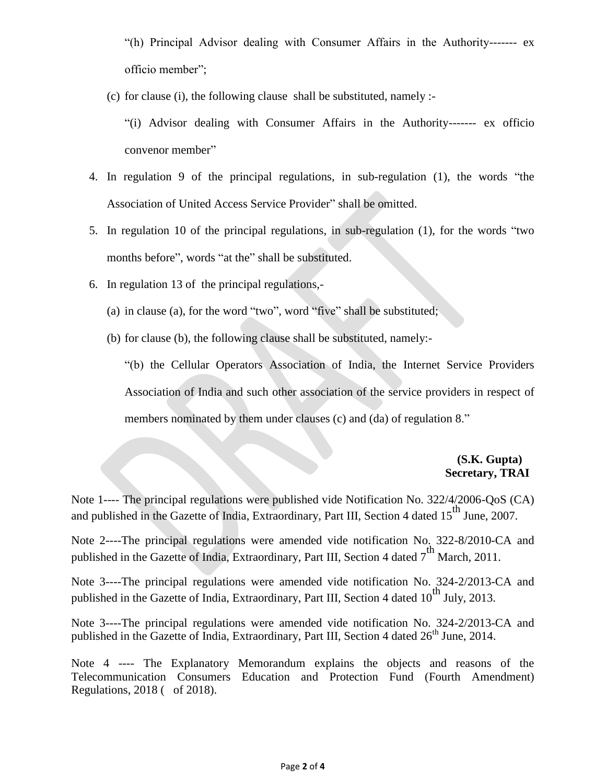"(h) Principal Advisor dealing with Consumer Affairs in the Authority------- ex officio member";

(c) for clause (i), the following clause shall be substituted, namely :-

"(i) Advisor dealing with Consumer Affairs in the Authority------- ex officio convenor member"

- 4. In regulation 9 of the principal regulations, in sub-regulation (1), the words "the Association of United Access Service Provider" shall be omitted.
- 5. In regulation 10 of the principal regulations, in sub-regulation (1), for the words "two months before", words "at the" shall be substituted.
- 6. In regulation 13 of the principal regulations,-
	- (a) in clause (a), for the word "two", word "five" shall be substituted;
	- (b) for clause (b), the following clause shall be substituted, namely:-

"(b) the Cellular Operators Association of India, the Internet Service Providers Association of India and such other association of the service providers in respect of members nominated by them under clauses (c) and (da) of regulation 8."

## **(S.K. Gupta) Secretary, TRAI**

Note 1---- The principal regulations were published vide Notification No. 322/4/2006-QoS (CA) and published in the Gazette of India, Extraordinary, Part III, Section 4 dated  $15<sup>th</sup>$  June, 2007.

Note 2----The principal regulations were amended vide notification No. 322-8/2010-CA and published in the Gazette of India, Extraordinary, Part III, Section 4 dated  $7<sup>th</sup>$  March, 2011.

Note 3----The principal regulations were amended vide notification No. 324-2/2013-CA and published in the Gazette of India, Extraordinary, Part III, Section 4 dated  $10^{th}$  July, 2013.

Note 3----The principal regulations were amended vide notification No. 324-2/2013-CA and published in the Gazette of India, Extraordinary, Part III, Section 4 dated  $26<sup>th</sup>$  June, 2014.

Note 4 ---- The Explanatory Memorandum explains the objects and reasons of the Telecommunication Consumers Education and Protection Fund (Fourth Amendment) Regulations, 2018 ( of 2018).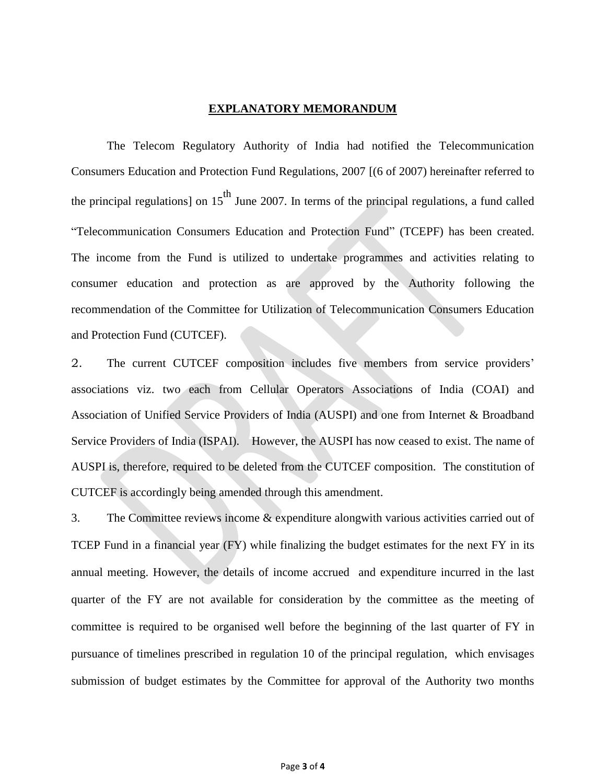#### **EXPLANATORY MEMORANDUM**

The Telecom Regulatory Authority of India had notified the Telecommunication Consumers Education and Protection Fund Regulations, 2007 [(6 of 2007) hereinafter referred to the principal regulations] on  $15<sup>th</sup>$  June 2007. In terms of the principal regulations, a fund called "Telecommunication Consumers Education and Protection Fund" (TCEPF) has been created. The income from the Fund is utilized to undertake programmes and activities relating to consumer education and protection as are approved by the Authority following the recommendation of the Committee for Utilization of Telecommunication Consumers Education and Protection Fund (CUTCEF).

2. The current CUTCEF composition includes five members from service providers' associations viz. two each from Cellular Operators Associations of India (COAI) and Association of Unified Service Providers of India (AUSPI) and one from Internet & Broadband Service Providers of India (ISPAI). However, the AUSPI has now ceased to exist. The name of AUSPI is, therefore, required to be deleted from the CUTCEF composition. The constitution of CUTCEF is accordingly being amended through this amendment.

3. The Committee reviews income & expenditure alongwith various activities carried out of TCEP Fund in a financial year (FY) while finalizing the budget estimates for the next FY in its annual meeting. However, the details of income accrued and expenditure incurred in the last quarter of the FY are not available for consideration by the committee as the meeting of committee is required to be organised well before the beginning of the last quarter of FY in pursuance of timelines prescribed in regulation 10 of the principal regulation, which envisages submission of budget estimates by the Committee for approval of the Authority two months